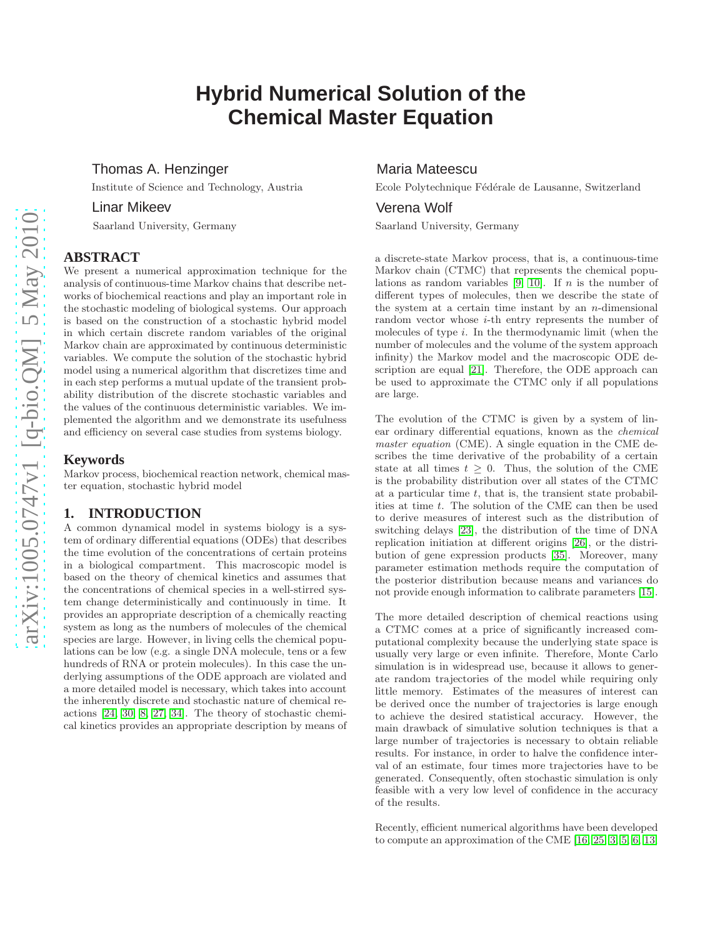# **Hybrid Numerical Solution of the Chemical Master Equation**

# Thomas A. Henzinger

Institute of Science and Technology, Austria

# Linar Mikeev

Saarland University, Germany

## **ABSTRACT**

We present a numerical approximation technique for the analysis of continuous-time Markov chains that describe networks of biochemical reactions and play an important role in the stochastic modeling of biological systems. Our approach is based on the construction of a stochastic hybrid model in which certain discrete random variables of the original Markov chain are approximated by continuous deterministic variables. We compute the solution of the stochastic hybrid model using a numerical algorithm that discretizes time and in each step performs a mutual update of the transient probability distribution of the discrete stochastic variables and the values of the continuous deterministic variables. We implemented the algorithm and we demonstrate its usefulness and efficiency on several case studies from systems biology.

#### **Keywords**

Markov process, biochemical reaction network, chemical master equation, stochastic hybrid model

#### **1. INTRODUCTION**

A common dynamical model in systems biology is a system of ordinary differential equations (ODEs) that describes the time evolution of the concentrations of certain proteins in a biological compartment. This macroscopic model is based on the theory of chemical kinetics and assumes that the concentrations of chemical species in a well-stirred system change deterministically and continuously in time. It provides an appropriate description of a chemically reacting system as long as the numbers of molecules of the chemical species are large. However, in living cells the chemical populations can be low (e.g. a single DNA molecule, tens or a few hundreds of RNA or protein molecules). In this case the underlying assumptions of the ODE approach are violated and a more detailed model is necessary, which takes into account the inherently discrete and stochastic nature of chemical reactions [\[24,](#page-9-0) [30,](#page-9-1) [8,](#page-9-2) [27,](#page-9-3) [34\]](#page-9-4). The theory of stochastic chemical kinetics provides an appropriate description by means of

## Maria Mateescu

Ecole Polytechnique Fédérale de Lausanne, Switzerland

## Verena Wolf

Saarland University, Germany

a discrete-state Markov process, that is, a continuous-time Markov chain (CTMC) that represents the chemical popu-lations as random variables [\[9,](#page-9-5) [10\]](#page-9-6). If *n* is the number of different types of molecules, then we describe the state of the system at a certain time instant by an  $n$ -dimensional random vector whose *i*-th entry represents the number of molecules of type i. In the thermodynamic limit (when the number of molecules and the volume of the system approach infinity) the Markov model and the macroscopic ODE description are equal [\[21\]](#page-9-7). Therefore, the ODE approach can be used to approximate the CTMC only if all populations are large.

The evolution of the CTMC is given by a system of linear ordinary differential equations, known as the chemical master equation (CME). A single equation in the CME describes the time derivative of the probability of a certain state at all times  $t > 0$ . Thus, the solution of the CME is the probability distribution over all states of the CTMC at a particular time  $t$ , that is, the transient state probabilities at time t. The solution of the CME can then be used to derive measures of interest such as the distribution of switching delays [\[23\]](#page-9-8), the distribution of the time of DNA replication initiation at different origins [\[26\]](#page-9-9), or the distribution of gene expression products [\[35\]](#page-9-10). Moreover, many parameter estimation methods require the computation of the posterior distribution because means and variances do not provide enough information to calibrate parameters [\[15\]](#page-9-11).

The more detailed description of chemical reactions using a CTMC comes at a price of significantly increased computational complexity because the underlying state space is usually very large or even infinite. Therefore, Monte Carlo simulation is in widespread use, because it allows to generate random trajectories of the model while requiring only little memory. Estimates of the measures of interest can be derived once the number of trajectories is large enough to achieve the desired statistical accuracy. However, the main drawback of simulative solution techniques is that a large number of trajectories is necessary to obtain reliable results. For instance, in order to halve the confidence interval of an estimate, four times more trajectories have to be generated. Consequently, often stochastic simulation is only feasible with a very low level of confidence in the accuracy of the results.

Recently, efficient numerical algorithms have been developed to compute an approximation of the CME [\[16,](#page-9-12) [25,](#page-9-13) [3,](#page-9-14) [5,](#page-9-15) [6,](#page-9-16) [13,](#page-9-17)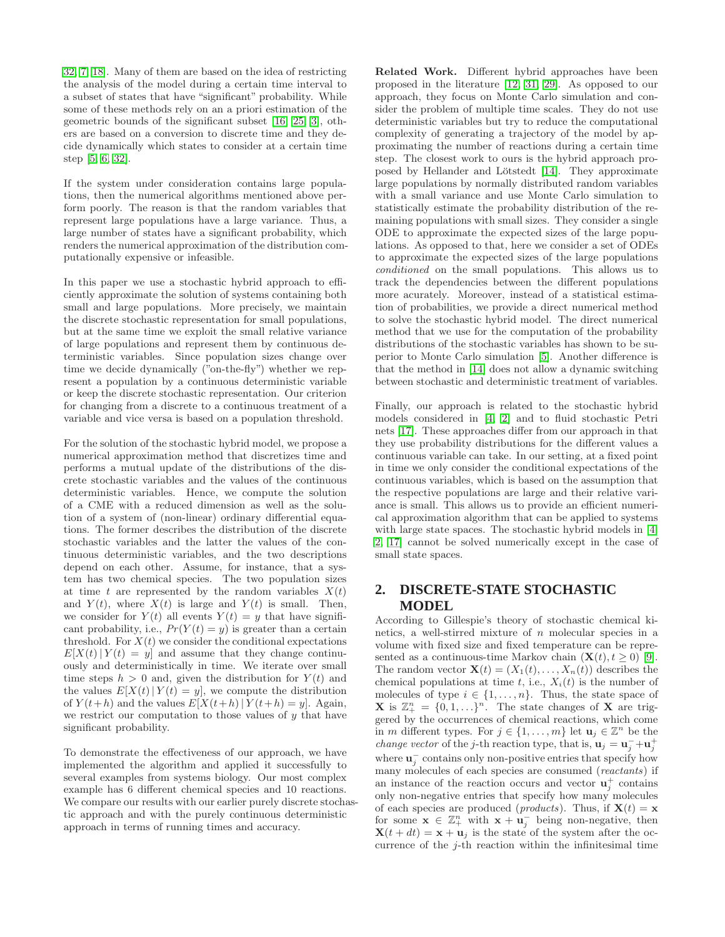[32,](#page-9-18) [7,](#page-9-19) [18\]](#page-9-20). Many of them are based on the idea of restricting the analysis of the model during a certain time interval to a subset of states that have "significant" probability. While some of these methods rely on an a priori estimation of the geometric bounds of the significant subset [\[16,](#page-9-12) [25,](#page-9-13) [3\]](#page-9-14), others are based on a conversion to discrete time and they decide dynamically which states to consider at a certain time step [\[5,](#page-9-15) [6,](#page-9-16) [32\]](#page-9-18).

If the system under consideration contains large populations, then the numerical algorithms mentioned above perform poorly. The reason is that the random variables that represent large populations have a large variance. Thus, a large number of states have a significant probability, which renders the numerical approximation of the distribution computationally expensive or infeasible.

In this paper we use a stochastic hybrid approach to efficiently approximate the solution of systems containing both small and large populations. More precisely, we maintain the discrete stochastic representation for small populations, but at the same time we exploit the small relative variance of large populations and represent them by continuous deterministic variables. Since population sizes change over time we decide dynamically ("on-the-fly") whether we represent a population by a continuous deterministic variable or keep the discrete stochastic representation. Our criterion for changing from a discrete to a continuous treatment of a variable and vice versa is based on a population threshold.

For the solution of the stochastic hybrid model, we propose a numerical approximation method that discretizes time and performs a mutual update of the distributions of the discrete stochastic variables and the values of the continuous deterministic variables. Hence, we compute the solution of a CME with a reduced dimension as well as the solution of a system of (non-linear) ordinary differential equations. The former describes the distribution of the discrete stochastic variables and the latter the values of the continuous deterministic variables, and the two descriptions depend on each other. Assume, for instance, that a system has two chemical species. The two population sizes at time t are represented by the random variables  $X(t)$ and  $Y(t)$ , where  $X(t)$  is large and  $Y(t)$  is small. Then, we consider for  $Y(t)$  all events  $Y(t) = y$  that have significant probability, i.e.,  $Pr(Y(t) = y)$  is greater than a certain threshold. For  $X(t)$  we consider the conditional expectations  $E[X(t)|Y(t) = y]$  and assume that they change continuously and deterministically in time. We iterate over small time steps  $h > 0$  and, given the distribution for  $Y(t)$  and the values  $E[X(t) | Y(t) = y]$ , we compute the distribution of  $Y(t+h)$  and the values  $E[X(t+h)|Y(t+h) = y]$ . Again, we restrict our computation to those values of  $y$  that have significant probability.

To demonstrate the effectiveness of our approach, we have implemented the algorithm and applied it successfully to several examples from systems biology. Our most complex example has 6 different chemical species and 10 reactions. We compare our results with our earlier purely discrete stochastic approach and with the purely continuous deterministic approach in terms of running times and accuracy.

Related Work. Different hybrid approaches have been proposed in the literature [\[12,](#page-9-21) [31,](#page-9-22) [29\]](#page-9-23). As opposed to our approach, they focus on Monte Carlo simulation and consider the problem of multiple time scales. They do not use deterministic variables but try to reduce the computational complexity of generating a trajectory of the model by approximating the number of reactions during a certain time step. The closest work to ours is the hybrid approach pro-posed by Hellander and Lötstedt [\[14\]](#page-9-24). They approximate large populations by normally distributed random variables with a small variance and use Monte Carlo simulation to statistically estimate the probability distribution of the remaining populations with small sizes. They consider a single ODE to approximate the expected sizes of the large populations. As opposed to that, here we consider a set of ODEs to approximate the expected sizes of the large populations conditioned on the small populations. This allows us to track the dependencies between the different populations more acurately. Moreover, instead of a statistical estimation of probabilities, we provide a direct numerical method to solve the stochastic hybrid model. The direct numerical method that we use for the computation of the probability distributions of the stochastic variables has shown to be superior to Monte Carlo simulation [\[5\]](#page-9-15). Another difference is that the method in [\[14\]](#page-9-24) does not allow a dynamic switching between stochastic and deterministic treatment of variables.

Finally, our approach is related to the stochastic hybrid models considered in [\[4,](#page-9-25) [2\]](#page-8-0) and to fluid stochastic Petri nets [\[17\]](#page-9-26). These approaches differ from our approach in that they use probability distributions for the different values a continuous variable can take. In our setting, at a fixed point in time we only consider the conditional expectations of the continuous variables, which is based on the assumption that the respective populations are large and their relative variance is small. This allows us to provide an efficient numerical approximation algorithm that can be applied to systems with large state spaces. The stochastic hybrid models in [\[4,](#page-9-25) [2,](#page-8-0) [17\]](#page-9-26) cannot be solved numerically except in the case of small state spaces.

## <span id="page-1-0"></span>**2. DISCRETE-STATE STOCHASTIC MODEL**

According to Gillespie's theory of stochastic chemical kinetics, a well-stirred mixture of n molecular species in a volume with fixed size and fixed temperature can be represented as a continuous-time Markov chain  $(\mathbf{X}(t), t \geq 0)$  [\[9\]](#page-9-5). The random vector  $\mathbf{X}(t) = (X_1(t), \dots, X_n(t))$  describes the chemical populations at time t, i.e.,  $X_i(t)$  is the number of molecules of type  $i \in \{1, \ldots, n\}$ . Thus, the state space of **X** is  $\mathbb{Z}_{+}^{n} = \{0, 1, \ldots\}^{n}$ . The state changes of **X** are triggered by the occurrences of chemical reactions, which come in m different types. For  $j \in \{1, ..., m\}$  let  $\mathbf{u}_j \in \mathbb{Z}^n$  be the *change vector* of the *j*-th reaction type, that is,  $\mathbf{u}_j = \mathbf{u}_j - \mathbf{u}_j^+$ where  $\mathbf{u}_j^-$  contains only non-positive entries that specify how many molecules of each species are consumed (reactants) if an instance of the reaction occurs and vector  $\mathbf{u}_j^+$  contains only non-negative entries that specify how many molecules of each species are produced (*products*). Thus, if  $\mathbf{X}(t) = \mathbf{x}$ for some  $\mathbf{x} \in \mathbb{Z}_+^n$  with  $\mathbf{x} + \mathbf{u}_j^-$  being non-negative, then  $\mathbf{X}(t + dt) = \mathbf{x} + \mathbf{u}_j$  is the state of the system after the occurrence of the  $j$ -th reaction within the infinitesimal time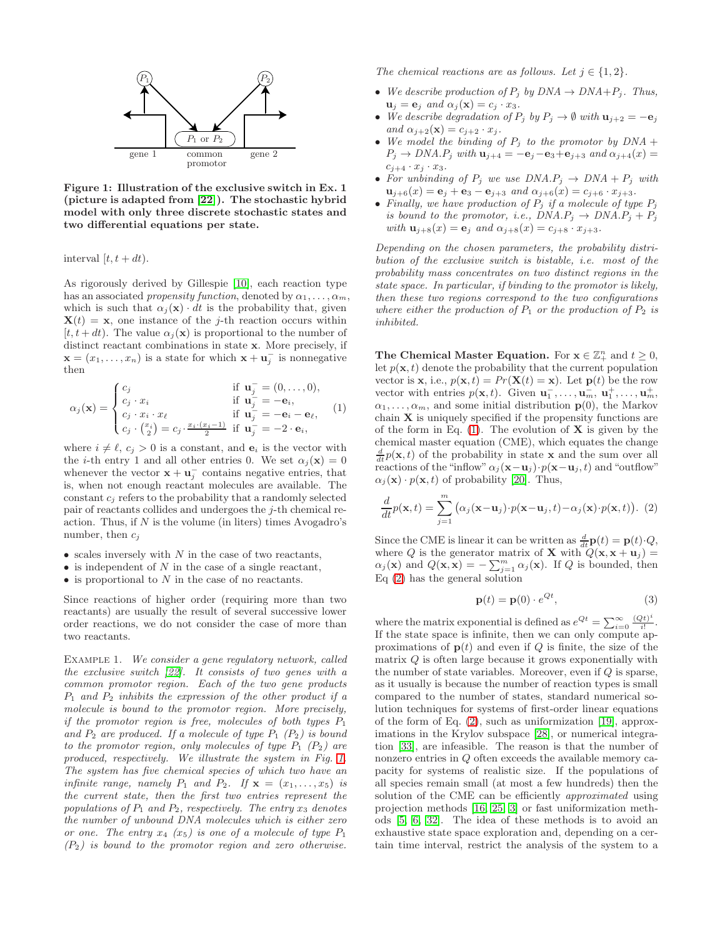

<span id="page-2-0"></span>Figure 1: Illustration of the exclusive switch in Ex. 1 (picture is adapted from [\[22\]](#page-9-27)). The stochastic hybrid model with only three discrete stochastic states and two differential equations per state.

interval  $[t, t + dt)$ .

As rigorously derived by Gillespie [\[10\]](#page-9-6), each reaction type has an associated propensity function, denoted by  $\alpha_1, \ldots, \alpha_m$ , which is such that  $\alpha_i(\mathbf{x}) \cdot dt$  is the probability that, given  $\mathbf{X}(t) = \mathbf{x}$ , one instance of the *j*-th reaction occurs within [ $t, t + dt$ ]. The value  $\alpha_i(\mathbf{x})$  is proportional to the number of distinct reactant combinations in state x. More precisely, if  $\mathbf{x} = (x_1, \dots, x_n)$  is a state for which  $\mathbf{x} + \mathbf{u}_j^-$  is nonnegative then

<span id="page-2-1"></span>
$$
\alpha_j(\mathbf{x}) = \begin{cases}\nc_j & \text{if } \mathbf{u}_j = (0, \dots, 0), \\
c_j \cdot x_i & \text{if } \mathbf{u}_j = -\mathbf{e}_i, \\
c_j \cdot x_i \cdot x_\ell & \text{if } \mathbf{u}_j = -\mathbf{e}_i - \mathbf{e}_\ell, \\
c_j \cdot \binom{x_i}{2} = c_j \cdot \frac{x_i \cdot (x_i - 1)}{2} & \text{if } \mathbf{u}_j = -2 \cdot \mathbf{e}_i,\n\end{cases}
$$
\n(1)

where  $i \neq \ell$ ,  $c_j > 0$  is a constant, and  $e_i$  is the vector with the *i*-th entry 1 and all other entries 0. We set  $\alpha_j(\mathbf{x}) = 0$ whenever the vector  $\mathbf{x} + \mathbf{u}_j^-$  contains negative entries, that is, when not enough reactant molecules are available. The constant  $c_j$  refers to the probability that a randomly selected pair of reactants collides and undergoes the j-th chemical reaction. Thus, if  $N$  is the volume (in liters) times Avogadro's number, then  $c_j$ 

- $\bullet$  scales inversely with  $N$  in the case of two reactants,
- $\bullet$  is independent of N in the case of a single reactant,
- $\bullet$  is proportional to  $N$  in the case of no reactants.

Since reactions of higher order (requiring more than two reactants) are usually the result of several successive lower order reactions, we do not consider the case of more than two reactants.

EXAMPLE 1. We consider a gene regulatory network, called the exclusive switch [\[22\]](#page-9-27). It consists of two genes with a common promotor region. Each of the two gene products  $P_1$  and  $P_2$  inhibits the expression of the other product if a molecule is bound to the promotor region. More precisely, if the promotor region is free, molecules of both types  $P_1$ and  $P_2$  are produced. If a molecule of type  $P_1$  ( $P_2$ ) is bound to the promotor region, only molecules of type  $P_1$  ( $P_2$ ) are produced, respectively. We illustrate the system in Fig. [1.](#page-2-0) The system has five chemical species of which two have an infinite range, namely  $P_1$  and  $P_2$ . If  $\mathbf{x} = (x_1, \ldots, x_5)$  is the current state, then the first two entries represent the populations of  $P_1$  and  $P_2$ , respectively. The entry  $x_3$  denotes the number of unbound DNA molecules which is either zero or one. The entry  $x_4$  ( $x_5$ ) is one of a molecule of type  $P_1$  $(P_2)$  is bound to the promotor region and zero otherwise.

The chemical reactions are as follows. Let  $j \in \{1, 2\}$ .

- We describe production of  $P_j$  by  $DNA \rightarrow DNA+P_j$ . Thus,  $\mathbf{u}_j = \mathbf{e}_j$  and  $\alpha_j(\mathbf{x}) = c_j \cdot x_3$ .
- We describe degradation of  $P_j$  by  $P_j \to \emptyset$  with  $\mathbf{u}_{j+2} = -\mathbf{e}_j$ and  $\alpha_{j+2}(\mathbf{x}) = c_{j+2} \cdot x_j$ .
- We model the binding of  $P_j$  to the promotor by  $DNA +$  $P_j \rightarrow DNA.P_j$  with  $\mathbf{u}_{j+4} = -\mathbf{e}_j - \mathbf{e}_3 + \mathbf{e}_{j+3}$  and  $\alpha_{j+4}(x) =$  $c_{j+4} \cdot x_j \cdot x_3$ .
- For unbinding of  $P_j$  we use  $DNA.P_j \rightarrow DNA + P_j$  with  $\mathbf{u}_{j+6}(x) = \mathbf{e}_j + \mathbf{e}_3 - \mathbf{e}_{j+3}$  and  $\alpha_{j+6}(x) = c_{j+6} \cdot x_{j+3}$ .
- Finally, we have production of  $P_i$  if a molecule of type  $P_i$ is bound to the promotor, i.e.,  $DNA.P_i \rightarrow DNA.P_i + P_i$ with  $\mathbf{u}_{j+8}(x) = \mathbf{e}_j$  and  $\alpha_{j+8}(x) = c_{j+8} \cdot x_{j+3}$ .

Depending on the chosen parameters, the probability distribution of the exclusive switch is bistable, i.e. most of the probability mass concentrates on two distinct regions in the state space. In particular, if binding to the promotor is likely, then these two regions correspond to the two configurations where either the production of  $P_1$  or the production of  $P_2$  is inhibited.

The Chemical Master Equation. For  $x \in \mathbb{Z}_+^n$  and  $t \geq 0$ , let  $p(\mathbf{x}, t)$  denote the probability that the current population vector is **x**, i.e.,  $p(\mathbf{x}, t) = Pr(\mathbf{X}(t) = \mathbf{x})$ . Let  $p(t)$  be the row vector with entries  $p(\mathbf{x}, t)$ . Given  $\mathbf{u}_1^-, \dots, \mathbf{u}_m^-, \mathbf{u}_1^+, \dots, \mathbf{u}_m^+$  $\alpha_1, \ldots, \alpha_m$ , and some initial distribution  $p(0)$ , the Markov chain  $X$  is uniquely specified if the propensity functions are of the form in Eq.  $(1)$ . The evolution of **X** is given by the chemical master equation (CME), which equates the change  $\frac{d}{dt}p(\mathbf{x},t)$  of the probability in state **x** and the sum over all reactions of the "inflow"  $\alpha_i$  (**x**−**u**<sub>j</sub>)·p(**x**−**u**<sub>j</sub>, t) and "outflow"  $\alpha_i(\mathbf{x}) \cdot p(\mathbf{x}, t)$  of probability [\[20\]](#page-9-28). Thus,

<span id="page-2-2"></span>
$$
\frac{d}{dt}p(\mathbf{x},t) = \sum_{j=1}^{m} (\alpha_j(\mathbf{x}-\mathbf{u}_j) \cdot p(\mathbf{x}-\mathbf{u}_j,t) - \alpha_j(\mathbf{x}) \cdot p(\mathbf{x},t)). \tag{2}
$$

Since the CME is linear it can be written as  $\frac{d}{dt} \mathbf{p}(t) = \mathbf{p}(t) \cdot Q$ , where Q is the generator matrix of **X** with  $Q(\mathbf{x}, \mathbf{x} + \mathbf{u}_j) =$  $\alpha_j(\mathbf{x})$  and  $Q(\mathbf{x}, \mathbf{x}) = -\sum_{j=1}^m \alpha_j(\mathbf{x})$ . If Q is bounded, then Eq [\(2\)](#page-2-2) has the general solution

$$
\mathbf{p}(t) = \mathbf{p}(0) \cdot e^{Qt},\tag{3}
$$

where the matrix exponential is defined as  $e^{Qt} = \sum_{i=0}^{\infty} \frac{(Qt)^i}{i!}$  $\frac{i!}{i!}$ . If the state space is infinite, then we can only compute approximations of  $p(t)$  and even if Q is finite, the size of the matrix Q is often large because it grows exponentially with the number of state variables. Moreover, even if  $Q$  is sparse, as it usually is because the number of reaction types is small compared to the number of states, standard numerical solution techniques for systems of first-order linear equations of the form of Eq. [\(2\)](#page-2-2), such as uniformization [\[19\]](#page-9-29), approximations in the Krylov subspace [\[28\]](#page-9-30), or numerical integration [\[33\]](#page-9-31), are infeasible. The reason is that the number of nonzero entries in Q often exceeds the available memory capacity for systems of realistic size. If the populations of all species remain small (at most a few hundreds) then the solution of the CME can be efficiently *approximated* using projection methods [\[16,](#page-9-12) [25,](#page-9-13) [3\]](#page-9-14) or fast uniformization methods [\[5,](#page-9-15) [6,](#page-9-16) [32\]](#page-9-18). The idea of these methods is to avoid an exhaustive state space exploration and, depending on a certain time interval, restrict the analysis of the system to a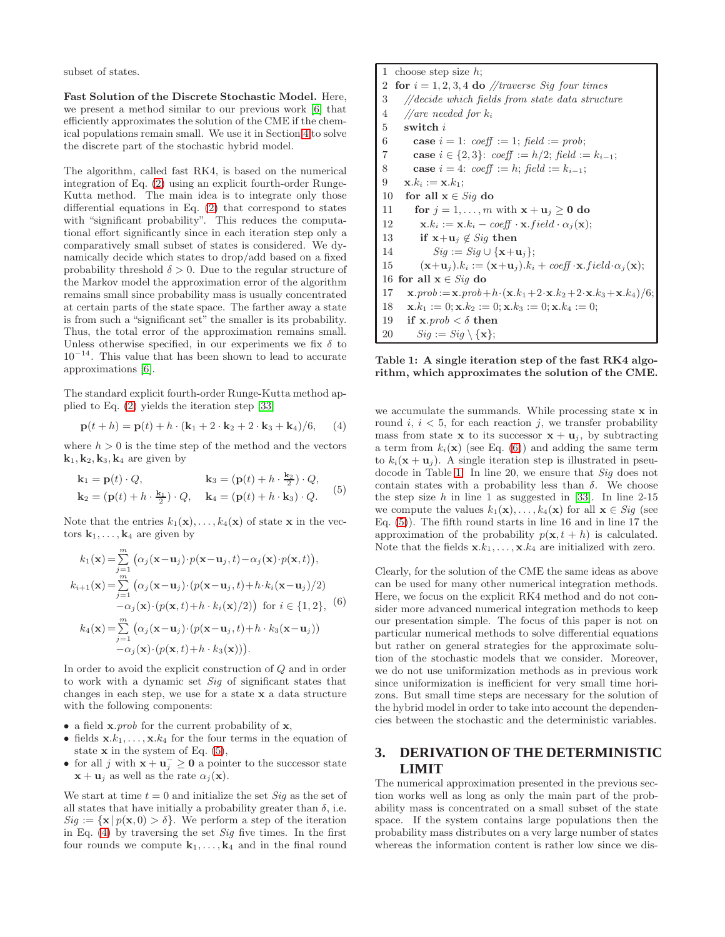subset of states.

Fast Solution of the Discrete Stochastic Model. Here, we present a method similar to our previous work [\[6\]](#page-9-16) that efficiently approximates the solution of the CME if the chemical populations remain small. We use it in Section [4](#page-5-0) to solve the discrete part of the stochastic hybrid model.

The algorithm, called fast RK4, is based on the numerical integration of Eq. [\(2\)](#page-2-2) using an explicit fourth-order Runge-Kutta method. The main idea is to integrate only those differential equations in Eq. [\(2\)](#page-2-2) that correspond to states with "significant probability". This reduces the computational effort significantly since in each iteration step only a comparatively small subset of states is considered. We dynamically decide which states to drop/add based on a fixed probability threshold  $\delta > 0$ . Due to the regular structure of the Markov model the approximation error of the algorithm remains small since probability mass is usually concentrated at certain parts of the state space. The farther away a state is from such a "significant set" the smaller is its probability. Thus, the total error of the approximation remains small. Unless otherwise specified, in our experiments we fix  $\delta$  to  $10^{-14}$ . This value that has been shown to lead to accurate approximations [\[6\]](#page-9-16).

The standard explicit fourth-order Runge-Kutta method applied to Eq. [\(2\)](#page-2-2) yields the iteration step [\[33\]](#page-9-31)

<span id="page-3-1"></span>
$$
\mathbf{p}(t+h) = \mathbf{p}(t) + h \cdot (\mathbf{k}_1 + 2 \cdot \mathbf{k}_2 + 2 \cdot \mathbf{k}_3 + \mathbf{k}_4)/6, \quad (4)
$$

where  $h > 0$  is the time step of the method and the vectors  $\mathbf{k}_1, \mathbf{k}_2, \mathbf{k}_3, \mathbf{k}_4$  are given by

<span id="page-3-0"></span>
$$
\mathbf{k}_1 = \mathbf{p}(t) \cdot Q, \qquad \mathbf{k}_3 = (\mathbf{p}(t) + h \cdot \frac{\mathbf{k}_2}{2}) \cdot Q, \n\mathbf{k}_2 = (\mathbf{p}(t) + h \cdot \frac{\mathbf{k}_1}{2}) \cdot Q, \qquad \mathbf{k}_4 = (\mathbf{p}(t) + h \cdot \mathbf{k}_3) \cdot Q.
$$
\n(5)

Note that the entries  $k_1(\mathbf{x}), \ldots, k_4(\mathbf{x})$  of state x in the vectors  $k_1, \ldots, k_4$  are given by

<span id="page-3-2"></span>
$$
k_1(\mathbf{x}) = \sum_{j=1}^m (\alpha_j(\mathbf{x}-\mathbf{u}_j) \cdot p(\mathbf{x}-\mathbf{u}_j, t) - \alpha_j(\mathbf{x}) \cdot p(\mathbf{x}, t)),
$$
  
\n
$$
k_{i+1}(\mathbf{x}) = \sum_{j=1}^m (\alpha_j(\mathbf{x}-\mathbf{u}_j) \cdot (p(\mathbf{x}-\mathbf{u}_j, t) + h \cdot k_i(\mathbf{x}-\mathbf{u}_j)/2)
$$
  
\n
$$
-\alpha_j(\mathbf{x}) \cdot (p(\mathbf{x}, t) + h \cdot k_i(\mathbf{x})/2)) \text{ for } i \in \{1, 2\}, (6)
$$
  
\n
$$
k_4(\mathbf{x}) = \sum_{j=1}^m (\alpha_j(\mathbf{x}-\mathbf{u}_j) \cdot (p(\mathbf{x}-\mathbf{u}_j, t) + h \cdot k_3(\mathbf{x}-\mathbf{u}_j))
$$
  
\n
$$
-\alpha_j(\mathbf{x}) \cdot (p(\mathbf{x}, t) + h \cdot k_3(\mathbf{x}))).
$$

In order to avoid the explicit construction of Q and in order to work with a dynamic set Sig of significant states that changes in each step, we use for a state x a data structure with the following components:

- a field  $\mathbf{x}.prob$  for the current probability of  $\mathbf{x}$ ,
- fields  $x.k_1, \ldots, x.k_4$  for the four terms in the equation of state  $x$  in the system of Eq.  $(5)$ ,
- for all j with  $\mathbf{x} + \mathbf{u}_j^{-} \geq 0$  a pointer to the successor state  $\mathbf{x} + \mathbf{u}_i$  as well as the rate  $\alpha_i(\mathbf{x})$ .

We start at time  $t = 0$  and initialize the set Sig as the set of all states that have initially a probability greater than  $\delta$ , i.e.  $Sig := {\mathbf{x} | p(\mathbf{x},0) > \delta}.$  We perform a step of the iteration in Eq.  $(4)$  by traversing the set Sig five times. In the first four rounds we compute  $k_1, \ldots, k_4$  and in the final round

1 choose step size  $h$ ; 2 for  $i = 1, 2, 3, 4$  do //traverse Sig four times 3 //decide which fields from state data structure 4 //are needed for  $k_i$ 5 switch i 6 case  $i = 1$ : coeff := 1; field := prob; 7 **case**  $i \in \{2, 3\}$ : coeff :=  $h/2$ ; field :=  $k_{i-1}$ ; 8 **case**  $i = 4$ :  $coeff := h$ ;  $field := k_{i-1}$ ; 9  $x.k_i := x.k_1;$ 10 for all  $x \in Sig$  do 11 for  $j = 1, \ldots, m$  with  $\mathbf{x} + \mathbf{u}_j \geq \mathbf{0}$  do 12  $\mathbf{x}.k_i := \mathbf{x}.k_i - \text{coeff} \cdot \mathbf{x}. \text{field} \cdot \alpha_i(\mathbf{x});$ 13 if  $\mathbf{x}+\mathbf{u}_i \notin \textit{Sig}$  then 14  $Sig := Sig \cup \{x+u_i\};$ 15  $(\mathbf{x}+\mathbf{u}_j).k_i := (\mathbf{x}+\mathbf{u}_j).k_i + \text{coeff}\cdot\mathbf{x}.field \cdot \alpha_j(\mathbf{x});$ 16 for all  $\mathbf{x} \in \textit{Sig}$  do 17  $\mathbf{x}.prob := \mathbf{x}.prob+h \cdot (\mathbf{x}.k_1+2\cdot \mathbf{x}.k_2+2\cdot \mathbf{x}.k_3+\mathbf{x}.k_4)/6;$ 18  $\mathbf{x}.k_1 := 0; \mathbf{x}.k_2 := 0; \mathbf{x}.k_3 := 0; \mathbf{x}.k_4 := 0;$ 19 if  $\mathbf{x}.prob < \delta$  then 20  $Sig := Sig \setminus {\mathbf{x}};$ 

<span id="page-3-3"></span>Table 1: A single iteration step of the fast RK4 algorithm, which approximates the solution of the CME.

we accumulate the summands. While processing state x in round  $i, i < 5$ , for each reaction j, we transfer probability mass from state **x** to its successor  $\mathbf{x} + \mathbf{u}_j$ , by subtracting a term from  $k_i(\mathbf{x})$  (see Eq. [\(6\)](#page-3-2)) and adding the same term to  $k_i(\mathbf{x} + \mathbf{u}_j)$ . A single iteration step is illustrated in pseudocode in Table [1.](#page-3-3) In line 20, we ensure that Sig does not contain states with a probability less than  $\delta$ . We choose the step size  $h$  in line 1 as suggested in [\[33\]](#page-9-31). In line 2-15 we compute the values  $k_1(\mathbf{x}), \ldots, k_4(\mathbf{x})$  for all  $\mathbf{x} \in \textit{Sig}$  (see Eq. [\(5\)](#page-3-0)). The fifth round starts in line 16 and in line 17 the approximation of the probability  $p(\mathbf{x}, t + h)$  is calculated. Note that the fields  $x.k_1, \ldots, x.k_4$  are initialized with zero.

Clearly, for the solution of the CME the same ideas as above can be used for many other numerical integration methods. Here, we focus on the explicit RK4 method and do not consider more advanced numerical integration methods to keep our presentation simple. The focus of this paper is not on particular numerical methods to solve differential equations but rather on general strategies for the approximate solution of the stochastic models that we consider. Moreover, we do not use uniformization methods as in previous work since uniformization is inefficient for very small time horizons. But small time steps are necessary for the solution of the hybrid model in order to take into account the dependencies between the stochastic and the deterministic variables.

# <span id="page-3-4"></span>**3. DERIVATION OF THE DETERMINISTIC LIMIT**

The numerical approximation presented in the previous section works well as long as only the main part of the probability mass is concentrated on a small subset of the state space. If the system contains large populations then the probability mass distributes on a very large number of states whereas the information content is rather low since we dis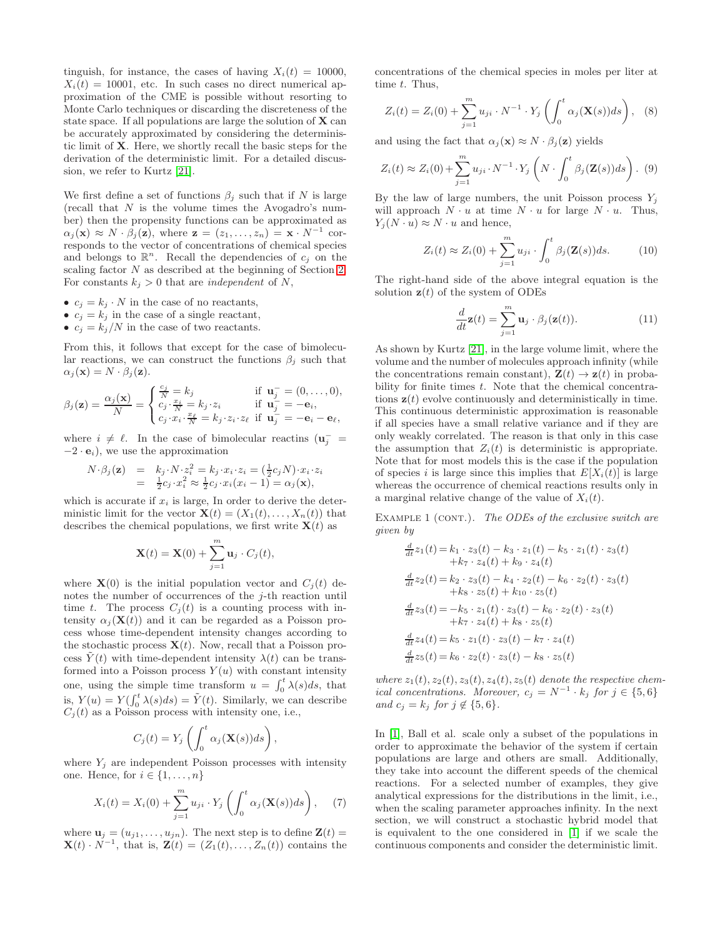tinguish, for instance, the cases of having  $X_i(t) = 10000$ ,  $X_i(t) = 10001$ , etc. In such cases no direct numerical approximation of the CME is possible without resorting to Monte Carlo techniques or discarding the discreteness of the state space. If all populations are large the solution of  $X$  can be accurately approximated by considering the deterministic limit of X. Here, we shortly recall the basic steps for the derivation of the deterministic limit. For a detailed discussion, we refer to Kurtz [\[21\]](#page-9-7).

We first define a set of functions  $\beta_j$  such that if N is large (recall that  $N$  is the volume times the Avogadro's number) then the propensity functions can be approximated as  $\alpha_j(\mathbf{x}) \approx N \cdot \beta_j(\mathbf{z})$ , where  $\mathbf{z} = (z_1, \dots, z_n) = \mathbf{x} \cdot N^{-1}$  corresponds to the vector of concentrations of chemical species and belongs to  $\mathbb{R}^n$ . Recall the dependencies of  $c_j$  on the scaling factor N as described at the beginning of Section [2.](#page-1-0) For constants  $k_j > 0$  that are *independent* of N,

- $c_j = k_j \cdot N$  in the case of no reactants,
- $c_j = k_j$  in the case of a single reactant,
- $c_j = k_j/N$  in the case of two reactants.

From this, it follows that except for the case of bimolecular reactions, we can construct the functions  $\beta_i$  such that  $\alpha_i(\mathbf{x}) = N \cdot \beta_i(\mathbf{z}).$ 

$$
\beta_j(\mathbf{z}) = \frac{\alpha_j(\mathbf{x})}{N} = \begin{cases} \frac{c_j}{N} = k_j & \text{if } \mathbf{u}_j^- = (0, \dots, 0), \\ c_j \cdot \frac{x_i}{N} = k_j \cdot z_i & \text{if } \mathbf{u}_j^- = -\mathbf{e}_i, \\ c_j \cdot x_i \cdot \frac{x_\ell}{N} = k_j \cdot z_i \cdot z_\ell & \text{if } \mathbf{u}_j^- = -\mathbf{e}_i - \mathbf{e}_\ell, \end{cases}
$$

where  $i \neq \ell$ . In the case of bimolecular reactins  $(\mathbf{u}_j^ -2 \cdot \mathbf{e}_i$ , we use the approximation

$$
N \cdot \beta_j(\mathbf{z}) = k_j \cdot N \cdot z_i^2 = k_j \cdot x_i \cdot z_i = (\frac{1}{2} c_j N) \cdot x_i \cdot z_i
$$
  
=  $\frac{1}{2} c_j \cdot x_i^2 \approx \frac{1}{2} c_j \cdot x_i (x_i - 1) = \alpha_j(\mathbf{x}),$ 

which is accurate if  $x_i$  is large, In order to derive the deterministic limit for the vector  $\mathbf{X}(t) = (X_1(t), \ldots, X_n(t))$  that describes the chemical populations, we first write  $\mathbf{X}(t)$  as

$$
\mathbf{X}(t) = \mathbf{X}(0) + \sum_{j=1}^{m} \mathbf{u}_j \cdot C_j(t),
$$

where  $\mathbf{X}(0)$  is the initial population vector and  $C_i(t)$  denotes the number of occurrences of the *j*-th reaction until time t. The process  $C_i(t)$  is a counting process with intensity  $\alpha_i(\mathbf{X}(t))$  and it can be regarded as a Poisson process whose time-dependent intensity changes according to the stochastic process  $\mathbf{X}(t)$ . Now, recall that a Poisson process  $\tilde{Y}(t)$  with time-dependent intensity  $\lambda(t)$  can be transformed into a Poisson process  $Y(u)$  with constant intensity one, using the simple time transform  $u = \int_0^t \lambda(s)ds$ , that is,  $Y(u) = Y(\int_0^t \lambda(s)ds) = \tilde{Y}(t)$ . Similarly, we can describe  $C_j(t)$  as a Poisson process with intensity one, i.e.,

$$
C_j(t) = Y_j \left( \int_0^t \alpha_j(\mathbf{X}(s))ds \right),\,
$$

where  $Y_j$  are independent Poisson processes with intensity one. Hence, for  $i \in \{1, \ldots, n\}$ 

$$
X_i(t) = X_i(0) + \sum_{j=1}^{m} u_{ji} \cdot Y_j \left( \int_0^t \alpha_j(\mathbf{X}(s)) ds \right), \quad (7)
$$

where  $\mathbf{u}_j = (u_{j1}, \dots, u_{jn})$ . The next step is to define  $\mathbf{Z}(t)$  =  $\mathbf{X}(t) \cdot N^{-1}$ , that is,  $\mathbf{Z}(t) = (Z_1(t), \ldots, Z_n(t))$  contains the concentrations of the chemical species in moles per liter at time  $t$ . Thus,

$$
Z_i(t) = Z_i(0) + \sum_{j=1}^{m} u_{ji} \cdot N^{-1} \cdot Y_j \left( \int_0^t \alpha_j(\mathbf{X}(s)) ds \right), \quad (8)
$$

and using the fact that  $\alpha_i(\mathbf{x}) \approx N \cdot \beta_i(\mathbf{z})$  yields

$$
Z_i(t) \approx Z_i(0) + \sum_{j=1}^m u_{ji} \cdot N^{-1} \cdot Y_j \left( N \cdot \int_0^t \beta_j(\mathbf{Z}(s)) ds \right). (9)
$$

By the law of large numbers, the unit Poisson process  $Y_i$ will approach  $N \cdot u$  at time  $N \cdot u$  for large  $N \cdot u$ . Thus,  $Y_i(N \cdot u) \approx N \cdot u$  and hence,

$$
Z_i(t) \approx Z_i(0) + \sum_{j=1}^m u_{ji} \cdot \int_0^t \beta_j(\mathbf{Z}(s))ds.
$$
 (10)

The right-hand side of the above integral equation is the solution  $z(t)$  of the system of ODEs

$$
\frac{d}{dt}\mathbf{z}(t) = \sum_{j=1}^{m} \mathbf{u}_{j} \cdot \beta_{j}(\mathbf{z}(t)).
$$
\n(11)

As shown by Kurtz [\[21\]](#page-9-7), in the large volume limit, where the volume and the number of molecules approach infinity (while the concentrations remain constant),  $\mathbf{Z}(t) \to \mathbf{z}(t)$  in probability for finite times  $t$ . Note that the chemical concentrations  $z(t)$  evolve continuously and deterministically in time. This continuous deterministic approximation is reasonable if all species have a small relative variance and if they are only weakly correlated. The reason is that only in this case the assumption that  $Z_i(t)$  is deterministic is appropriate. Note that for most models this is the case if the population of species i is large since this implies that  $E[X_i(t)]$  is large whereas the occurrence of chemical reactions results only in a marginal relative change of the value of  $X_i(t)$ .

EXAMPLE 1 (CONT.). The ODEs of the exclusive switch are given by

$$
\frac{d}{dt}z_1(t) = k_1 \cdot z_3(t) - k_3 \cdot z_1(t) - k_5 \cdot z_1(t) \cdot z_3(t) \n+ k_7 \cdot z_4(t) + k_9 \cdot z_4(t) \n\frac{d}{dt}z_2(t) = k_2 \cdot z_3(t) - k_4 \cdot z_2(t) - k_6 \cdot z_2(t) \cdot z_3(t) \n+ k_8 \cdot z_5(t) + k_{10} \cdot z_5(t) \n\frac{d}{dt}z_3(t) = -k_5 \cdot z_1(t) \cdot z_3(t) - k_6 \cdot z_2(t) \cdot z_3(t) \n+ k_7 \cdot z_4(t) + k_8 \cdot z_5(t) \n\frac{d}{dt}z_4(t) = k_5 \cdot z_1(t) \cdot z_3(t) - k_7 \cdot z_4(t) \n\frac{d}{dt}z_5(t) = k_6 \cdot z_2(t) \cdot z_3(t) - k_8 \cdot z_5(t)
$$

where  $z_1(t)$ ,  $z_2(t)$ ,  $z_3(t)$ ,  $z_4(t)$ ,  $z_5(t)$  denote the respective chemical concentrations. Moreover,  $c_j = N^{-1} \cdot k_j$  for  $j \in \{5, 6\}$ and  $c_j = k_j$  for  $j \notin \{5, 6\}.$ 

In [\[1\]](#page-8-1), Ball et al. scale only a subset of the populations in order to approximate the behavior of the system if certain populations are large and others are small. Additionally, they take into account the different speeds of the chemical reactions. For a selected number of examples, they give analytical expressions for the distributions in the limit, i.e., when the scaling parameter approaches infinity. In the next section, we will construct a stochastic hybrid model that is equivalent to the one considered in [\[1\]](#page-8-1) if we scale the continuous components and consider the deterministic limit.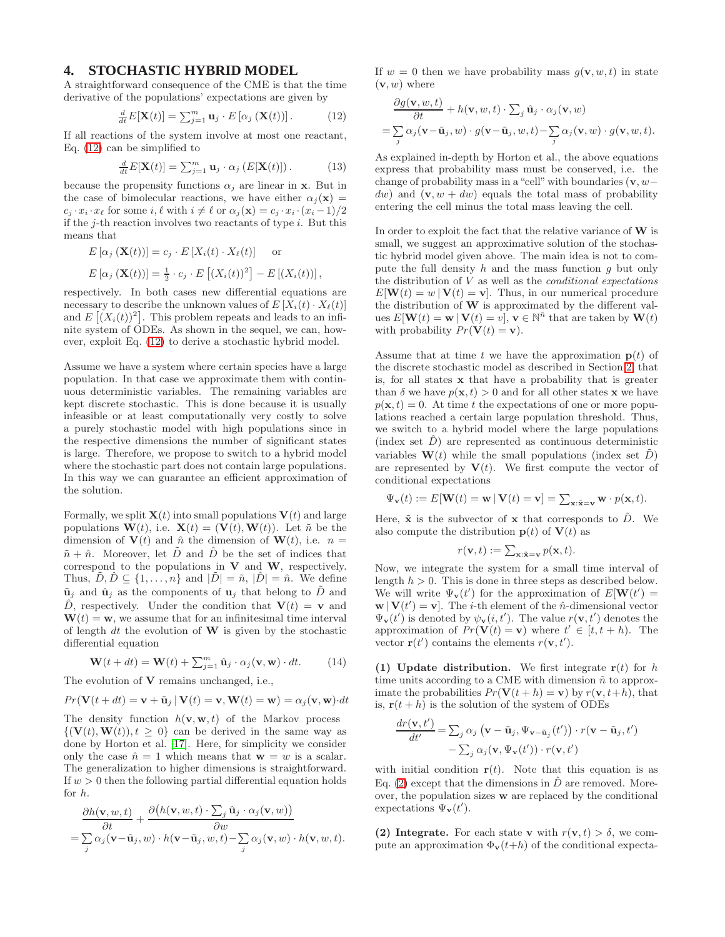#### <span id="page-5-0"></span>**4. STOCHASTIC HYBRID MODEL**

A straightforward consequence of the CME is that the time derivative of the populations' expectations are given by

<span id="page-5-1"></span>
$$
\frac{d}{dt}E[\mathbf{X}(t)] = \sum_{j=1}^{m} \mathbf{u}_{j} \cdot E\left[\alpha_{j} \left(\mathbf{X}(t)\right)\right]. \tag{12}
$$

If all reactions of the system involve at most one reactant, Eq. [\(12\)](#page-5-1) can be simplified to

$$
\frac{d}{dt}E[\mathbf{X}(t)] = \sum_{j=1}^{m} \mathbf{u}_j \cdot \alpha_j \left( E[\mathbf{X}(t)] \right). \tag{13}
$$

because the propensity functions  $\alpha_i$  are linear in x. But in the case of bimolecular reactions, we have either  $\alpha_i(\mathbf{x}) =$  $c_i \cdot x_i \cdot x_\ell$  for some  $i, \ell$  with  $i \neq \ell$  or  $\alpha_i(\mathbf{x}) = c_i \cdot x_i \cdot (x_i - 1)/2$ if the  $i$ -th reaction involves two reactants of type  $i$ . But this means that

$$
E\left[\alpha_j\left(\mathbf{X}(t)\right)\right] = c_j \cdot E\left[X_i(t) \cdot X_\ell(t)\right] \quad \text{or}
$$
  

$$
E\left[\alpha_j\left(\mathbf{X}(t)\right)\right] = \frac{1}{2} \cdot c_j \cdot E\left[\left(X_i(t)\right)^2\right] - E\left[\left(X_i(t)\right)\right],
$$

respectively. In both cases new differential equations are necessary to describe the unknown values of  $E[X_i(t) \cdot X_\ell(t)]$ and  $E[(X_i(t))^2]$ . This problem repeats and leads to an infinite system of ODEs. As shown in the sequel, we can, however, exploit Eq. [\(12\)](#page-5-1) to derive a stochastic hybrid model.

Assume we have a system where certain species have a large population. In that case we approximate them with continuous deterministic variables. The remaining variables are kept discrete stochastic. This is done because it is usually infeasible or at least computationally very costly to solve a purely stochastic model with high populations since in the respective dimensions the number of significant states is large. Therefore, we propose to switch to a hybrid model where the stochastic part does not contain large populations. In this way we can guarantee an efficient approximation of the solution.

Formally, we split  $\mathbf{X}(t)$  into small populations  $\mathbf{V}(t)$  and large populations  $\mathbf{W}(t)$ , i.e.  $\mathbf{X}(t) = (\mathbf{V}(t), \mathbf{W}(t))$ . Let  $\tilde{n}$  be the dimension of  $V(t)$  and  $\hat{n}$  the dimension of  $W(t)$ , i.e.  $n =$  $\tilde{n} + \hat{n}$ . Moreover, let  $\tilde{D}$  and  $\hat{D}$  be the set of indices that correspond to the populations in  $V$  and  $W$ , respectively. Thus,  $\tilde{D}, \tilde{D} \subseteq \{1, \ldots, n\}$  and  $|\tilde{D}| = \tilde{n}$ ,  $|\tilde{D}| = \hat{n}$ . We define  $\tilde{\mathbf{u}}_i$  and  $\hat{\mathbf{u}}_j$  as the components of  $\mathbf{u}_j$  that belong to  $\tilde{D}$  and  $\hat{D}$ , respectively. Under the condition that  $\mathbf{V}(t) = \mathbf{v}$  and  $W(t) = w$ , we assume that for an infinitesimal time interval of length  $dt$  the evolution of  $W$  is given by the stochastic differential equation

$$
\mathbf{W}(t+dt) = \mathbf{W}(t) + \sum_{j=1}^{m} \hat{\mathbf{u}}_j \cdot \alpha_j(\mathbf{v}, \mathbf{w}) \cdot dt.
$$
 (14)

The evolution of **V** remains unchanged, i.e.,

 $Pr(\mathbf{V}(t + dt) = \mathbf{v} + \tilde{\mathbf{u}}_j | \mathbf{V}(t) = \mathbf{v}, \mathbf{W}(t) = \mathbf{w}) = \alpha_j(\mathbf{v}, \mathbf{w}) \cdot dt$ 

The density function  $h(\mathbf{v}, \mathbf{w}, t)$  of the Markov process  $\{(\mathbf{V}(t),\mathbf{W}(t)), t \geq 0\}$  can be derived in the same way as done by Horton et al. [\[17\]](#page-9-26). Here, for simplicity we consider only the case  $\hat{n} = 1$  which means that  $\mathbf{w} = w$  is a scalar. The generalization to higher dimensions is straightforward. If  $w > 0$  then the following partial differential equation holds for h.

$$
\frac{\partial h(\mathbf{v}, w, t)}{\partial t} + \frac{\partial (h(\mathbf{v}, w, t) \cdot \sum_j \hat{\mathbf{u}}_j \cdot \alpha_j(\mathbf{v}, w))}{\partial w} \n= \sum_j \alpha_j(\mathbf{v} - \tilde{\mathbf{u}}_j, w) \cdot h(\mathbf{v} - \tilde{\mathbf{u}}_j, w, t) - \sum_j \alpha_j(\mathbf{v}, w) \cdot h(\mathbf{v}, w, t).
$$

If  $w = 0$  then we have probability mass  $g(\mathbf{v}, w, t)$  in state  $(v, w)$  where

$$
\frac{\partial g(\mathbf{v}, w, t)}{\partial t} + h(\mathbf{v}, w, t) \cdot \sum_j \hat{\mathbf{u}}_j \cdot \alpha_j(\mathbf{v}, w) \n= \sum_j \alpha_j(\mathbf{v} - \tilde{\mathbf{u}}_j, w) \cdot g(\mathbf{v} - \tilde{\mathbf{u}}_j, w, t) - \sum_j \alpha_j(\mathbf{v}, w) \cdot g(\mathbf{v}, w, t).
$$

As explained in-depth by Horton et al., the above equations express that probability mass must be conserved, i.e. the change of probability mass in a "cell" with boundaries  $(v, w$ dw) and  $(v, w + dw)$  equals the total mass of probability entering the cell minus the total mass leaving the cell.

In order to exploit the fact that the relative variance of  $W$  is small, we suggest an approximative solution of the stochastic hybrid model given above. The main idea is not to compute the full density  $h$  and the mass function  $g$  but only the distribution of  $V$  as well as the *conditional expectations*  $E[\mathbf{W}(t) = w | \mathbf{V}(t) = \mathbf{v}]$ . Thus, in our numerical procedure the distribution of W is approximated by the different values  $E[\mathbf{W}(t) = \mathbf{w} | \mathbf{V}(t) = v], \mathbf{v} \in \mathbb{N}^{\tilde{n}}$  that are taken by  $\mathbf{W}(t)$ with probability  $Pr(\mathbf{V}(t) = \mathbf{v})$ .

Assume that at time t we have the approximation  $p(t)$  of the discrete stochastic model as described in Section [2,](#page-1-0) that is, for all states x that have a probability that is greater than  $\delta$  we have  $p(\mathbf{x}, t) > 0$  and for all other states **x** we have  $p(\mathbf{x}, t) = 0$ . At time t the expectations of one or more populations reached a certain large population threshold. Thus, we switch to a hybrid model where the large populations  $(index set D)$  are represented as continuous deterministic variables  $\mathbf{W}(t)$  while the small populations (index set  $\tilde{D}$ ) are represented by  $V(t)$ . We first compute the vector of conditional expectations

$$
\Psi_{\mathbf{v}}(t) := E[\mathbf{W}(t) = \mathbf{w} | \mathbf{V}(t) = \mathbf{v}] = \sum_{\mathbf{x}: \tilde{\mathbf{x}} = \mathbf{v}} \mathbf{w} \cdot p(\mathbf{x}, t).
$$

Here,  $\tilde{\mathbf{x}}$  is the subvector of  $\mathbf{x}$  that corresponds to  $\tilde{D}$ . We also compute the distribution  $p(t)$  of  $V(t)$  as

$$
r(\mathbf{v},t) := \sum_{\mathbf{x}:\tilde{\mathbf{x}}=\mathbf{v}} p(\mathbf{x},t).
$$

Now, we integrate the system for a small time interval of length  $h > 0$ . This is done in three steps as described below. We will write  $\Psi_{\mathbf{v}}(t')$  for the approximation of  $E[\mathbf{W}(t')]=$  $\mathbf{w} \, | \, \mathbf{V}(t') = \mathbf{v}$ . The *i*-th element of the *î*n-dimensional vector  $\Psi_{\mathbf{v}}(t')$  is denoted by  $\psi_{\mathbf{v}}(i, t')$ . The value  $r(\mathbf{v}, t')$  denotes the approximation of  $Pr(\mathbf{V}(t) = \mathbf{v})$  where  $t' \in [t, t + h)$ . The vector  $\mathbf{r}(t')$  contains the elements  $r(\mathbf{v}, t')$ .

(1) Update distribution. We first integrate  $r(t)$  for h time units according to a CME with dimension  $\tilde{n}$  to approximate the probabilities  $Pr(\mathbf{V}(t+h) = \mathbf{v})$  by  $r(\mathbf{v}, t+h)$ , that is,  $\mathbf{r}(t+h)$  is the solution of the system of ODEs

$$
\frac{dr(\mathbf{v},t')}{dt'} = \sum_{j} \alpha_j (\mathbf{v} - \tilde{\mathbf{u}}_j, \Psi_{\mathbf{v} - \tilde{\mathbf{u}}_j}(t')) \cdot r(\mathbf{v} - \tilde{\mathbf{u}}_j,t')
$$

$$
- \sum_{j} \alpha_j (\mathbf{v}, \Psi_{\mathbf{v}}(t')) \cdot r(\mathbf{v},t')
$$

with initial condition  $r(t)$ . Note that this equation is as Eq. [\(2\)](#page-2-2) except that the dimensions in  $\hat{D}$  are removed. Moreover, the population sizes w are replaced by the conditional expectations  $\Psi_{\mathbf{v}}(t')$ .

(2) Integrate. For each state v with  $r(\mathbf{v}, t) > \delta$ , we compute an approximation  $\Phi_{\mathbf{v}}(t+h)$  of the conditional expecta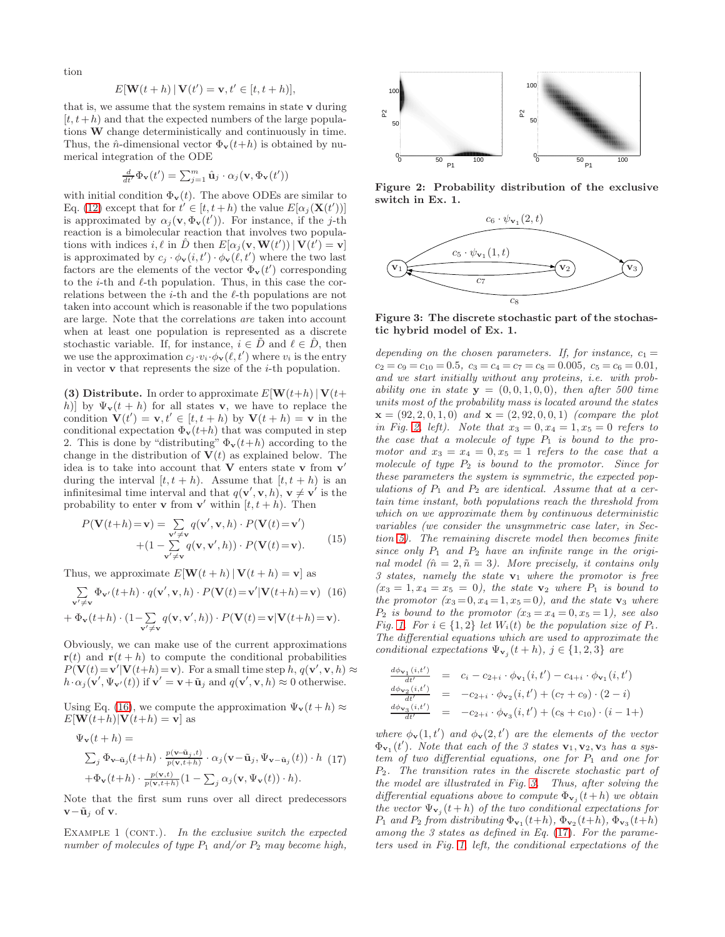tion

$$
E[\mathbf{W}(t+h) | \mathbf{V}(t') = \mathbf{v}, t' \in [t, t+h)],
$$

that is, we assume that the system remains in state  $\bf{v}$  during  $[t, t+h)$  and that the expected numbers of the large populations W change deterministically and continuously in time. Thus, the  $\hat{n}$ -dimensional vector  $\Phi_{\mathbf{v}}(t+h)$  is obtained by numerical integration of the ODE

$$
\frac{d}{dt'}\Phi_{\mathbf{v}}(t') = \sum_{j=1}^{m} \hat{\mathbf{u}}_j \cdot \alpha_j(\mathbf{v}, \Phi_{\mathbf{v}}(t'))
$$

with initial condition  $\Phi_{\mathbf{v}}(t)$ . The above ODEs are similar to Eq. [\(12\)](#page-5-1) except that for  $t' \in [t, t+h)$  the value  $E[\alpha_j(\mathbf{X}(t'))]$ is approximated by  $\alpha_j(\mathbf{v}, \Phi_{\mathbf{v}}(t'))$ . For instance, if the j-th reaction is a bimolecular reaction that involves two populations with indices i,  $\ell$  in  $\hat{D}$  then  $E[\alpha_j(\mathbf{v}, \mathbf{W}(t')) | \mathbf{V}(t') = \mathbf{v}]$ is approximated by  $c_j \cdot \phi_{\mathbf{v}}(i, t') \cdot \phi_{\mathbf{v}}(\ell, t')$  where the two last factors are the elements of the vector  $\Phi_{\mathbf{v}}(t')$  corresponding to the *i*-th and  $\ell$ -th population. Thus, in this case the correlations between the  $i$ -th and the  $\ell$ -th populations are not taken into account which is reasonable if the two populations are large. Note that the correlations are taken into account when at least one population is represented as a discrete stochastic variable. If, for instance,  $i \in \overline{D}$  and  $\ell \in \overline{D}$ , then we use the approximation  $c_j \cdot v_i \cdot \phi_v(\ell, t')$  where  $v_i$  is the entry in vector  $\bf{v}$  that represents the size of the *i*-th population.

(3) Distribute. In order to approximate  $E[\mathbf{W}(t+h)|\mathbf{V}(t+h)]$ h)] by  $\Psi_{\mathbf{v}}(t+h)$  for all states **v**, we have to replace the condition  $\mathbf{V}(t') = \mathbf{v}, t' \in [t, t+h)$  by  $\mathbf{V}(t+h) = \mathbf{v}$  in the conditional expectation  $\Phi_{\mathbf{v}}(t+h)$  that was computed in step 2. This is done by "distributing"  $\Phi_{\mathbf{v}}(t+h)$  according to the change in the distribution of  $V(t)$  as explained below. The idea is to take into account that  $V$  enters state  $v$  from  $v'$ during the interval  $[t, t + h)$ . Assume that  $[t, t + h)$  is an infinitesimal time interval and that  $q(\mathbf{v}', \mathbf{v}, h)$ ,  $\mathbf{v} \neq \mathbf{v}'$  is the probability to enter **v** from **v**' within  $[t, t+h)$ . Then

$$
P(\mathbf{V}(t+h) = \mathbf{v}) = \sum_{\substack{\mathbf{v}' \neq \mathbf{v} \\ + (1 - \sum_{\substack{\mathbf{v}' \neq \mathbf{v}}} q(\mathbf{v}, \mathbf{v}, h) \cdot P(\mathbf{V}(t) = \mathbf{v}')} + (1 - \sum_{\substack{\mathbf{v}' \neq \mathbf{v}}} q(\mathbf{v}, \mathbf{v}', h)) \cdot P(\mathbf{V}(t) = \mathbf{v}).
$$
 (15)

Thus, we approximate  $E[\mathbf{W}(t+h)|\mathbf{V}(t+h)=\mathbf{v}]$  as

$$
\sum_{\mathbf{v}' \neq \mathbf{v}} \Phi_{\mathbf{v}'}(t+h) \cdot q(\mathbf{v}', \mathbf{v}, h) \cdot P(\mathbf{V}(t) = \mathbf{v}' | \mathbf{V}(t+h) = \mathbf{v}) \tag{16}
$$

$$
+\Phi_{\mathbf{v}}(t+h)\cdot(1-\sum_{\mathbf{v}'\neq\mathbf{v}}q(\mathbf{v},\mathbf{v}',h))\cdot P(\mathbf{V}(t)=\mathbf{v}|\mathbf{V}(t+h)=\mathbf{v}).
$$

Obviously, we can make use of the current approximations  $\mathbf{r}(t)$  and  $\mathbf{r}(t+h)$  to compute the conditional probabilities  $P(\mathbf{V}(t)=\mathbf{v}'|\mathbf{V}(t+h)=\mathbf{v})$ . For a small time step  $h, q(\mathbf{v}', \mathbf{v}, h) \approx$  $h \cdot \alpha_j(\mathbf{v}', \Psi_{\mathbf{v}'}(t))$  if  $\mathbf{v}' = \mathbf{v} + \tilde{\mathbf{u}}_j$  and  $q(\mathbf{v}', \mathbf{v}, h) \approx 0$  otherwise.

Using Eq. [\(16\)](#page-6-0), we compute the approximation  $\Psi_{\mathbf{v}}(t+h) \approx$  $E[\mathbf{W}(t+h)|\mathbf{V}(t+h)]=\mathbf{v}]$  as

<span id="page-6-3"></span>
$$
\Psi_{\mathbf{v}}(t+h) =
$$
\n
$$
\sum_{j} \Phi_{\mathbf{v}-\tilde{\mathbf{u}}j}(t+h) \cdot \frac{p(\mathbf{v}-\tilde{\mathbf{u}}j,t)}{p(\mathbf{v},t+h)} \cdot \alpha_j(\mathbf{v}-\tilde{\mathbf{u}}j,\Psi_{\mathbf{v}-\tilde{\mathbf{u}}j}(t)) \cdot h \tag{17}
$$
\n
$$
+\Phi_{\mathbf{v}}(t+h) \cdot \frac{p(\mathbf{v},t)}{p(\mathbf{v},t+h)} (1-\sum_{j} \alpha_j(\mathbf{v},\Psi_{\mathbf{v}}(t)) \cdot h).
$$

Note that the first sum runs over all direct predecessors  $\mathbf{v}-\tilde{\mathbf{u}}_j$  of  $\mathbf{v}$ .

EXAMPLE 1 (CONT.). In the exclusive switch the expected number of molecules of type  $P_1$  and/or  $P_2$  may become high,



Figure 2: Probability distribution of the exclusive switch in Ex. 1.

<span id="page-6-1"></span>

<span id="page-6-2"></span>Figure 3: The discrete stochastic part of the stochastic hybrid model of Ex. 1.

depending on the chosen parameters. If, for instance,  $c_1 =$  $c_2 = c_9 = c_{10} = 0.5$ ,  $c_3 = c_4 = c_7 = c_8 = 0.005$ ,  $c_5 = c_6 = 0.01$ , and we start initially without any proteins, i.e. with probability one in state  $y = (0, 0, 1, 0, 0)$ , then after 500 time units most of the probability mass is located around the states  $\mathbf{x} = (92, 2, 0, 1, 0)$  and  $\mathbf{x} = (2, 92, 0, 0, 1)$  (compare the plot in Fig. [2,](#page-6-1) left). Note that  $x_3 = 0, x_4 = 1, x_5 = 0$  refers to the case that a molecule of type  $P_1$  is bound to the promotor and  $x_3 = x_4 = 0, x_5 = 1$  refers to the case that a molecule of type  $P_2$  is bound to the promotor. Since for these parameters the system is symmetric, the expected populations of  $P_1$  and  $P_2$  are identical. Assume that at a certain time instant, both populations reach the threshold from which on we approximate them by continuous deterministic variables (we consider the unsymmetric case later, in Section [5\)](#page-7-0). The remaining discrete model then becomes finite since only  $P_1$  and  $P_2$  have an infinite range in the original model ( $\hat{n} = 2, \tilde{n} = 3$ ). More precisely, it contains only 3 states, namely the state  $v_1$  where the promotor is free  $(x_3 = 1, x_4 = x_5 = 0)$ , the state  $\mathbf{v}_2$  where  $P_1$  is bound to the promotor  $(x_3=0, x_4=1, x_5=0)$ , and the state  $\mathbf{v}_3$  where  $P_2$  is bound to the promotor  $(x_3 = x_4 = 0, x_5 = 1)$ , see also Fig. [1.](#page-2-0) For  $i \in \{1,2\}$  let  $W_i(t)$  be the population size of  $P_i$ . The differential equations which are used to approximate the conditional expectations  $\Psi_{\mathbf{v}_j}(t+h)$ ,  $j \in \{1,2,3\}$  are

<span id="page-6-0"></span>
$$
\frac{\frac{d\phi_{\mathbf{v}_1}(i,t')}{dt'}}{\frac{d\phi_{\mathbf{v}_2}(i,t')}}{dt'}} = c_i - c_{2+i} \cdot \phi_{\mathbf{v}_1}(i,t') - c_{4+i} \cdot \phi_{\mathbf{v}_1}(i,t')
$$
\n
$$
\frac{\frac{d\phi_{\mathbf{v}_2}(i,t')}{dt'}}{\frac{d\phi_{\mathbf{v}_3}(i,t')}}{dt'}} = -c_{2+i} \cdot \phi_{\mathbf{v}_2}(i,t') + (c_7 + c_9) \cdot (2 - i)
$$
\n
$$
\frac{\frac{d\phi_{\mathbf{v}_3}(i,t')}{dt'}}{\frac{d\phi_{\mathbf{v}_3}(i,t')}} = -c_{2+i} \cdot \phi_{\mathbf{v}_3}(i,t') + (c_8 + c_{10}) \cdot (i-1+)
$$

where  $\phi_{\mathbf{v}}(1,t')$  and  $\phi_{\mathbf{v}}(2,t')$  are the elements of the vector  $\Phi_{\mathbf{v}_1}(t')$ . Note that each of the 3 states  $\mathbf{v}_1, \mathbf{v}_2, \mathbf{v}_3$  has a system of two differential equations, one for  $P_1$  and one for P2. The transition rates in the discrete stochastic part of the model are illustrated in Fig. [3.](#page-6-2) Thus, after solving the differential equations above to compute  $\Phi_{\mathbf{v}_j}(t+h)$  we obtain the vector  $\Psi_{\mathbf{v}_j}(t+h)$  of the two conditional expectations for  $P_1$  and  $P_2$  from distributing  $\Phi_{\mathbf{v}_1}(t+h)$ ,  $\Phi_{\mathbf{v}_2}(t+h)$ ,  $\Phi_{\mathbf{v}_3}(t+h)$ among the 3 states as defined in Eq. [\(17\)](#page-6-3). For the parameters used in Fig. [1,](#page-2-0) left, the conditional expectations of the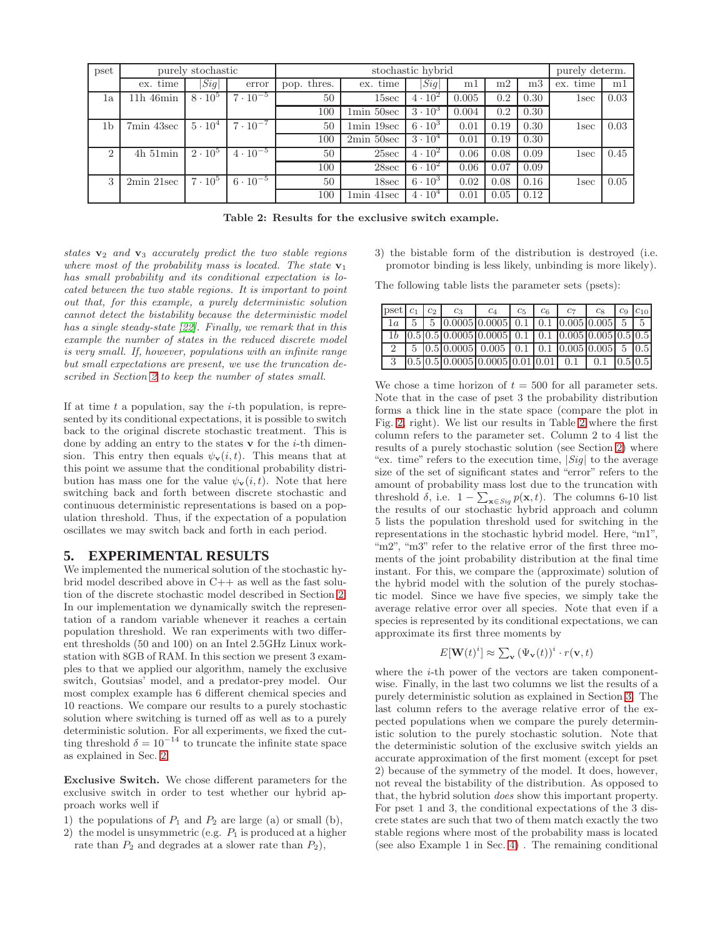| pset          | purely stochastic   |                |                   |             | purely determ.             |                    |       |                |                |             |      |
|---------------|---------------------|----------------|-------------------|-------------|----------------------------|--------------------|-------|----------------|----------------|-------------|------|
|               | ex. time            | Sig            | error             | pop. thres. | ex. time                   | $\left Sig\right $ | ml    | m <sub>2</sub> | m <sub>3</sub> | time<br>ex. | ml   |
| 1a            | $11h$ 46 $min$      | $8 \cdot 10^5$ | $7 \cdot 10^{-5}$ | 50          | 15sec                      | $4 \cdot 10^2$     | 0.005 | 0.2            | 0.30           | 1sec        | 0.03 |
|               |                     |                |                   | 100         | $1\text{min} 50\text{sec}$ | $3 \cdot 10^3$     | 0.004 | 0.2            | 0.30           |             |      |
| 1b            | $7\text{min}$ 43sec | $5 \cdot 10^4$ | $7 \cdot 10^{-7}$ | 50          | $1\text{min }19\text{sec}$ | $6 \cdot 10^3$     | 0.01  | 0.19           | 0.30           | 1sec        | 0.03 |
|               |                     |                |                   | 100         | $2min\ 50sec$              | $3 \cdot 10^4$     | 0.01  | 0.19           | 0.30           |             |      |
| $\mathcal{D}$ | $4h\,51min$         | $2 \cdot 10^5$ | $4 \cdot 10^{-5}$ | 50          | 25sec                      | $4 \cdot 10^2$     | 0.06  | 0.08           | 0.09           | 1sec        | 0.45 |
|               |                     |                |                   | 100         | 28sec                      | $6 \cdot 10^{2}$   | 0.06  | 0.07           | 0.09           |             |      |
| 3             | $2min\ 21sec$       | $7 \cdot 10^5$ | $6 \cdot 10^{-5}$ | 50          | 18sec                      | $6 \cdot 10^3$     | 0.02  | 0.08           | 0.16           | 1sec        | 0.05 |
|               |                     |                |                   | 100         | 1min 41sec                 | $4\cdot10^4$       | 0.01  | 0.05           | 0.12           |             |      |

<span id="page-7-1"></span>Table 2: Results for the exclusive switch example.

states  $v_2$  and  $v_3$  accurately predict the two stable regions where most of the probability mass is located. The state  $v_1$ has small probability and its conditional expectation is located between the two stable regions. It is important to point out that, for this example, a purely deterministic solution cannot detect the bistability because the deterministic model has a single steady-state [\[22\]](#page-9-27). Finally, we remark that in this example the number of states in the reduced discrete model is very small. If, however, populations with an infinite range but small expectations are present, we use the truncation described in Section [2](#page-1-0) to keep the number of states small.

If at time  $t$  a population, say the  $i$ -th population, is represented by its conditional expectations, it is possible to switch back to the original discrete stochastic treatment. This is done by adding an entry to the states  $\bf{v}$  for the *i*-th dimension. This entry then equals  $\psi_{\mathbf{v}}(i, t)$ . This means that at this point we assume that the conditional probability distribution has mass one for the value  $\psi_{\mathbf{v}}(i, t)$ . Note that here switching back and forth between discrete stochastic and continuous deterministic representations is based on a population threshold. Thus, if the expectation of a population oscillates we may switch back and forth in each period.

#### <span id="page-7-0"></span>**5. EXPERIMENTAL RESULTS**

We implemented the numerical solution of the stochastic hybrid model described above in C++ as well as the fast solution of the discrete stochastic model described in Section [2.](#page-1-0) In our implementation we dynamically switch the representation of a random variable whenever it reaches a certain population threshold. We ran experiments with two different thresholds (50 and 100) on an Intel 2.5GHz Linux workstation with 8GB of RAM. In this section we present 3 examples to that we applied our algorithm, namely the exclusive switch, Goutsias' model, and a predator-prey model. Our most complex example has 6 different chemical species and 10 reactions. We compare our results to a purely stochastic solution where switching is turned off as well as to a purely deterministic solution. For all experiments, we fixed the cutting threshold  $\delta = 10^{-14}$  to truncate the infinite state space as explained in Sec. [2.](#page-1-0)

Exclusive Switch. We chose different parameters for the exclusive switch in order to test whether our hybrid approach works well if

- 1) the populations of  $P_1$  and  $P_2$  are large (a) or small (b),
- 2) the model is unsymmetric (e.g.  $P_1$  is produced at a higher rate than  $P_2$  and degrades at a slower rate than  $P_2$ ),

3) the bistable form of the distribution is destroyed (i.e. promotor binding is less likely, unbinding is more likely).

The following table lists the parameter sets (psets):

| pset $c_1$ $c_2$ |  | $c_3$                                                                                                                | C <sub>4</sub> | $c_{5}$ | $c_6$ | $c_7$ | $c_8$ $c_9$ $c_{10}$ |  |
|------------------|--|----------------------------------------------------------------------------------------------------------------------|----------------|---------|-------|-------|----------------------|--|
|                  |  | $1a \mid 5 \mid 5$   0.0005   0.0005   0.1   0.1   0.005   0.005   5   5                                             |                |         |       |       |                      |  |
|                  |  | $1b$ $\vert 0.5 \vert 0.5 \vert 0.0005 \vert 0.0005 \vert 0.1 \vert 0.1 \vert 0.005 \vert 0.005 \vert 0.5 \vert 0.5$ |                |         |       |       |                      |  |
|                  |  | $\vert 5 \vert 0.5 \vert 0.0005 \vert 0.005 \vert 0.1 \vert 0.1 \vert 0.005 \vert 0.005 \vert 5 \vert 0.5 \vert$     |                |         |       |       |                      |  |
|                  |  | $3$   0.5   0.5   0.0005   0.0005   0.01   0.01   0.1   0.1   0.5   0.5                                              |                |         |       |       |                      |  |

We chose a time horizon of  $t = 500$  for all parameter sets. Note that in the case of pset 3 the probability distribution forms a thick line in the state space (compare the plot in Fig. [2,](#page-6-1) right). We list our results in Table [2](#page-7-1) where the first column refers to the parameter set. Column 2 to 4 list the results of a purely stochastic solution (see Section [2\)](#page-1-0) where "ex. time" refers to the execution time,  $|Sig|$  to the average size of the set of significant states and "error" refers to the amount of probability mass lost due to the truncation with threshold  $\delta$ , i.e.  $1 - \sum_{\mathbf{x} \in Sig} p(\mathbf{x}, t)$ . The columns 6-10 list the results of our stochastic hybrid approach and column 5 lists the population threshold used for switching in the representations in the stochastic hybrid model. Here, "m1", "m2", "m3" refer to the relative error of the first three moments of the joint probability distribution at the final time instant. For this, we compare the (approximate) solution of the hybrid model with the solution of the purely stochastic model. Since we have five species, we simply take the average relative error over all species. Note that even if a species is represented by its conditional expectations, we can approximate its first three moments by

$$
E[\mathbf{W}(t)^{i}] \approx \sum_{\mathbf{v}} (\Psi_{\mathbf{v}}(t))^{i} \cdot r(\mathbf{v}, t)
$$

where the *i*-th power of the vectors are taken componentwise. Finally, in the last two columns we list the results of a purely deterministic solution as explained in Section [3.](#page-3-4) The last column refers to the average relative error of the expected populations when we compare the purely deterministic solution to the purely stochastic solution. Note that the deterministic solution of the exclusive switch yields an accurate approximation of the first moment (except for pset 2) because of the symmetry of the model. It does, however, not reveal the bistability of the distribution. As opposed to that, the hybrid solution does show this important property. For pset 1 and 3, the conditional expectations of the 3 discrete states are such that two of them match exactly the two stable regions where most of the probability mass is located (see also Example 1 in Sec. [4\)](#page-5-0) . The remaining conditional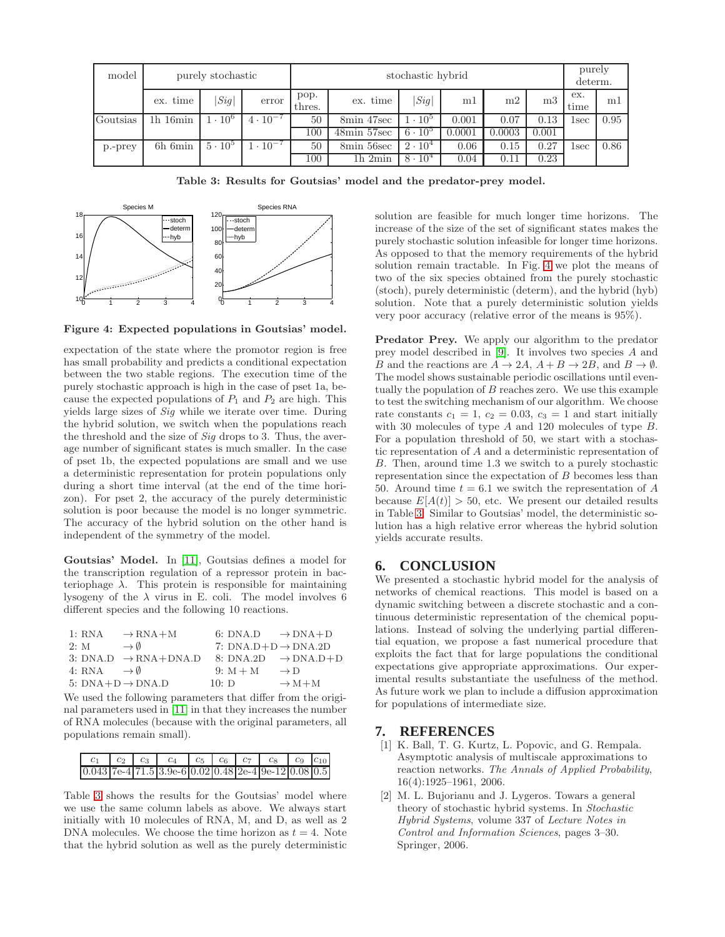| model           | purely stochastic |                |                                       | stochastic hybrid |             |                |        |                |                |                    | purely<br>$determin$ . |
|-----------------|-------------------|----------------|---------------------------------------|-------------------|-------------|----------------|--------|----------------|----------------|--------------------|------------------------|
|                 | ex. time          | Sig            | error                                 | pop.<br>thres.    | ex. time    | Sig            | m1     | m <sub>2</sub> | m <sub>3</sub> | ex.<br>time        | m                      |
| <b>Coutsias</b> | $1h$ 16 $min$     | $1 \cdot 10^6$ | $4 \cdot 10^{-7}$                     | 50                | 8min 47sec  | $1 \cdot 10^5$ | 0.001  | 0.07           | 0.13           | lsec               | 0.95                   |
|                 |                   |                |                                       | 100               | 48min 57sec | $6 \cdot 10^5$ | 0.0001 | 0.0003         | 0.001          |                    |                        |
| p.-prey         | 6h 6min           | $5 \cdot 10^5$ | $\overline{1}\cdot\overline{1}0^{-7}$ | 50                | 8min 56sec  | $2 \cdot 10^4$ | 0.06   | 0.15           | 0.27           | $_{\mathrm{1sec}}$ | 0.86                   |
|                 |                   |                |                                       | 100               | 1h2min      | $8 \cdot 10^4$ | 0.04   | $0.11\,$       | 0.23           |                    |                        |

<span id="page-8-2"></span>Table 3: Results for Goutsias' model and the predator-prey model.



<span id="page-8-3"></span>Figure 4: Expected populations in Goutsias' model.

expectation of the state where the promotor region is free has small probability and predicts a conditional expectation between the two stable regions. The execution time of the purely stochastic approach is high in the case of pset 1a, because the expected populations of  $P_1$  and  $P_2$  are high. This yields large sizes of Sig while we iterate over time. During the hybrid solution, we switch when the populations reach the threshold and the size of Sig drops to 3. Thus, the average number of significant states is much smaller. In the case of pset 1b, the expected populations are small and we use a deterministic representation for protein populations only during a short time interval (at the end of the time horizon). For pset 2, the accuracy of the purely deterministic solution is poor because the model is no longer symmetric. The accuracy of the hybrid solution on the other hand is independent of the symmetry of the model.

Goutsias' Model. In [\[11\]](#page-9-32), Goutsias defines a model for the transcription regulation of a repressor protein in bacteriophage  $\lambda$ . This protein is responsible for maintaining lysogeny of the  $\lambda$  virus in E. coli. The model involves 6 different species and the following 10 reactions.

| 1: RNA                         | $\rightarrow$ RNA+M              | 6: DNA.D $\rightarrow$ DNA+D    |                                 |
|--------------------------------|----------------------------------|---------------------------------|---------------------------------|
| 2: M                           | $\rightarrow$ 0                  | 7: $DNA.D+D \rightarrow DNA.2D$ |                                 |
|                                | 3: DNA.D $\rightarrow$ RNA+DNA.D |                                 | 8: DNA.2D $\rightarrow$ DNA.D+D |
| 4: RNA $\rightarrow \emptyset$ |                                  | 9: $M + M$                      | $\rightarrow$ D                 |
|                                | 5: $DNA+D \rightarrow DNA.D$     | 10: D                           | $\rightarrow$ M + M             |
|                                |                                  |                                 |                                 |

We used the following parameters that differ from the original parameters used in [\[11\]](#page-9-32) in that they increases the number of RNA molecules (because with the original parameters, all populations remain small).

| $c_1$ | $c_2$ $c_3$ |                                                        |  | $c_4$   $c_5$   $c_6$   $c_7$   $c_8$   $c_9$   $c_{10}$ |  |
|-------|-------------|--------------------------------------------------------|--|----------------------------------------------------------|--|
|       |             | $0.043$ 7e-4 71.5 3.9e-6 0.02 0.48 2e-4 9e-12 0.08 0.5 |  |                                                          |  |

Table [3](#page-8-2) shows the results for the Goutsias' model where we use the same column labels as above. We always start initially with 10 molecules of RNA, M, and D, as well as 2 DNA molecules. We choose the time horizon as  $t = 4$ . Note that the hybrid solution as well as the purely deterministic

solution are feasible for much longer time horizons. The increase of the size of the set of significant states makes the purely stochastic solution infeasible for longer time horizons. As opposed to that the memory requirements of the hybrid solution remain tractable. In Fig. [4](#page-8-3) we plot the means of two of the six species obtained from the purely stochastic (stoch), purely deterministic (determ), and the hybrid (hyb) solution. Note that a purely deterministic solution yields very poor accuracy (relative error of the means is 95%).

Predator Prey. We apply our algorithm to the predator prey model described in [\[9\]](#page-9-5). It involves two species A and B and the reactions are  $A \to 2A$ ,  $A + B \to 2B$ , and  $B \to \emptyset$ . The model shows sustainable periodic oscillations until eventually the population of  $B$  reaches zero. We use this example to test the switching mechanism of our algorithm. We choose rate constants  $c_1 = 1$ ,  $c_2 = 0.03$ ,  $c_3 = 1$  and start initially with 30 molecules of type A and 120 molecules of type B. For a population threshold of 50, we start with a stochastic representation of A and a deterministic representation of B. Then, around time 1.3 we switch to a purely stochastic representation since the expectation of  $B$  becomes less than 50. Around time  $t = 6.1$  we switch the representation of A because  $E[A(t)] > 50$ , etc. We present our detailed results in Table [3.](#page-8-2) Similar to Goutsias' model, the deterministic solution has a high relative error whereas the hybrid solution yields accurate results.

## **6. CONCLUSION**

We presented a stochastic hybrid model for the analysis of networks of chemical reactions. This model is based on a dynamic switching between a discrete stochastic and a continuous deterministic representation of the chemical populations. Instead of solving the underlying partial differential equation, we propose a fast numerical procedure that exploits the fact that for large populations the conditional expectations give appropriate approximations. Our experimental results substantiate the usefulness of the method. As future work we plan to include a diffusion approximation for populations of intermediate size.

#### <span id="page-8-1"></span>**7. REFERENCES**

- [1] K. Ball, T. G. Kurtz, L. Popovic, and G. Rempala. Asymptotic analysis of multiscale approximations to reaction networks. The Annals of Applied Probability, 16(4):1925–1961, 2006.
- <span id="page-8-0"></span>[2] M. L. Bujorianu and J. Lygeros. Towars a general theory of stochastic hybrid systems. In Stochastic Hybrid Systems, volume 337 of Lecture Notes in Control and Information Sciences, pages 3–30. Springer, 2006.